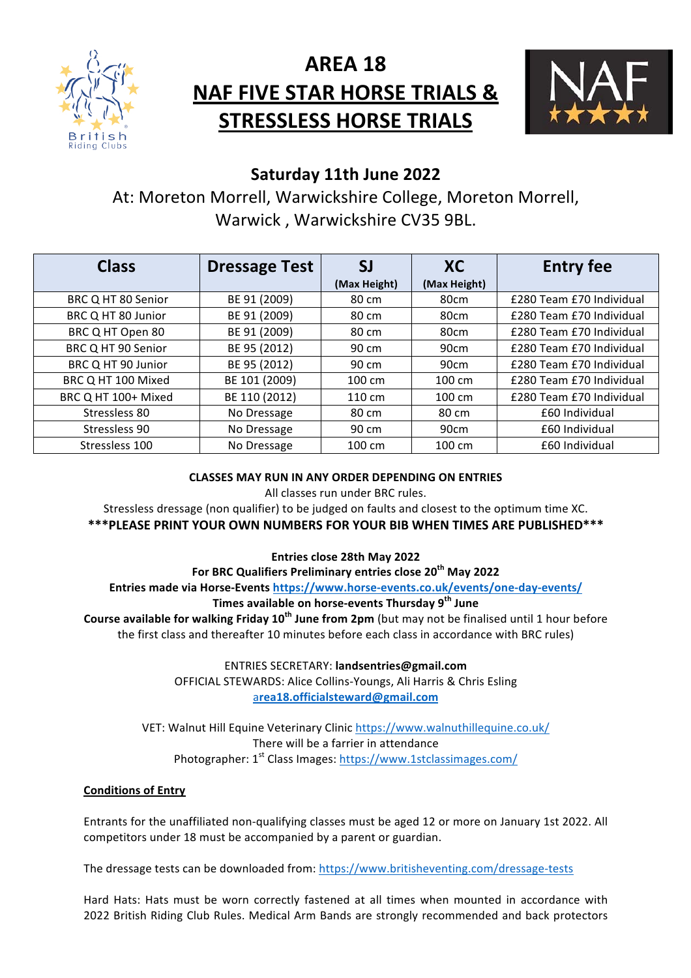

# **AREA 18 NAF FIVE STAR HORSE TRIALS & STRESSLESS HORSE TRIALS**



# **Saturday 11th June 2022**

At: Moreton Morrell, Warwickshire College, Moreton Morrell, Warwick, Warwickshire CV35 9BL.

| <b>Class</b>        | <b>Dressage Test</b> | SJ               | <b>XC</b>        | <b>Entry fee</b>         |
|---------------------|----------------------|------------------|------------------|--------------------------|
|                     |                      | (Max Height)     | (Max Height)     |                          |
| BRC Q HT 80 Senior  | BE 91 (2009)         | 80 cm            | 80cm             | £280 Team £70 Individual |
| BRC Q HT 80 Junior  | BE 91 (2009)         | 80 cm            | 80cm             | £280 Team £70 Individual |
| BRC Q HT Open 80    | BE 91 (2009)         | 80 cm            | 80cm             | £280 Team £70 Individual |
| BRC Q HT 90 Senior  | BE 95 (2012)         | 90 cm            | 90cm             | £280 Team £70 Individual |
| BRC Q HT 90 Junior  | BE 95 (2012)         | 90 cm            | 90cm             | £280 Team £70 Individual |
| BRC Q HT 100 Mixed  | BE 101 (2009)        | $100 \text{ cm}$ | $100 \text{ cm}$ | £280 Team £70 Individual |
| BRC Q HT 100+ Mixed | BE 110 (2012)        | $110 \text{ cm}$ | $100 \text{ cm}$ | £280 Team £70 Individual |
| Stressless 80       | No Dressage          | 80 cm            | 80 cm            | £60 Individual           |
| Stressless 90       | No Dressage          | 90 cm            | 90cm             | £60 Individual           |
| Stressless 100      | No Dressage          | 100 cm           | 100 cm           | £60 Individual           |

### **CLASSES MAY RUN IN ANY ORDER DEPENDING ON ENTRIES**

All classes run under BRC rules.

Stressless dressage (non qualifier) to be judged on faults and closest to the optimum time XC.

**\*\*\*PLEASE PRINT YOUR OWN NUMBERS FOR YOUR BIB WHEN TIMES ARE PUBLISHED\*\*\*** 

**Entries close 28th May 2022**

For BRC Qualifiers Preliminary entries close 20<sup>th</sup> May 2022 Entries made via Horse-Events https://www.horse-events.co.uk/events/one-day-events/ **Times available on horse-events Thursday 9<sup>th</sup> June Course available for walking Friday 10<sup>th</sup> June from 2pm** (but may not be finalised until 1 hour before

the first class and thereafter 10 minutes before each class in accordance with BRC rules)

ENTRIES SECRETARY: **landsentries@gmail.com** OFFICIAL STEWARDS: Alice Collins-Youngs, Ali Harris & Chris Esling a**rea18.officialsteward@gmail.com**

VET: Walnut Hill Equine Veterinary Clinic https://www.walnuthillequine.co.uk/ There will be a farrier in attendance Photographer: 1<sup>st</sup> Class Images: https://www.1stclassimages.com/

## **Conditions of Entry**

Entrants for the unaffiliated non-qualifying classes must be aged 12 or more on January 1st 2022. All competitors under 18 must be accompanied by a parent or guardian.

The dressage tests can be downloaded from: https://www.britisheventing.com/dressage-tests

Hard Hats: Hats must be worn correctly fastened at all times when mounted in accordance with 2022 British Riding Club Rules. Medical Arm Bands are strongly recommended and back protectors